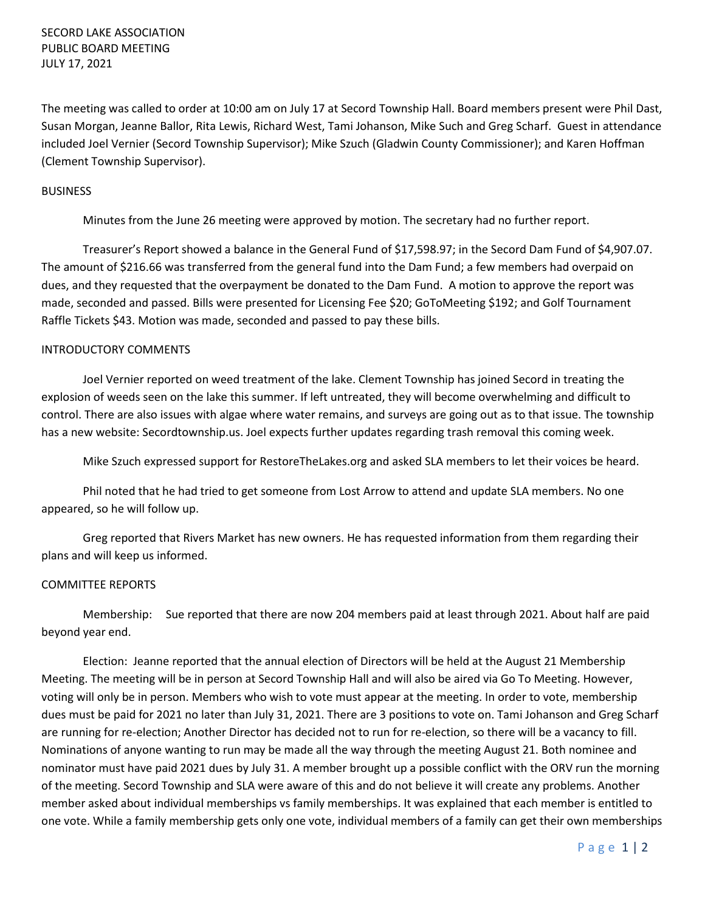SECORD LAKE ASSOCIATION PUBLIC BOARD MEETING JULY 17, 2021

The meeting was called to order at 10:00 am on July 17 at Secord Township Hall. Board members present were Phil Dast, Susan Morgan, Jeanne Ballor, Rita Lewis, Richard West, Tami Johanson, Mike Such and Greg Scharf. Guest in attendance included Joel Vernier (Secord Township Supervisor); Mike Szuch (Gladwin County Commissioner); and Karen Hoffman (Clement Township Supervisor).

## BUSINESS

Minutes from the June 26 meeting were approved by motion. The secretary had no further report.

Treasurer's Report showed a balance in the General Fund of \$17,598.97; in the Secord Dam Fund of \$4,907.07. The amount of \$216.66 was transferred from the general fund into the Dam Fund; a few members had overpaid on dues, and they requested that the overpayment be donated to the Dam Fund. A motion to approve the report was made, seconded and passed. Bills were presented for Licensing Fee \$20; GoToMeeting \$192; and Golf Tournament Raffle Tickets \$43. Motion was made, seconded and passed to pay these bills.

## INTRODUCTORY COMMENTS

Joel Vernier reported on weed treatment of the lake. Clement Township has joined Secord in treating the explosion of weeds seen on the lake this summer. If left untreated, they will become overwhelming and difficult to control. There are also issues with algae where water remains, and surveys are going out as to that issue. The township has a new website: Secordtownship.us. Joel expects further updates regarding trash removal this coming week.

Mike Szuch expressed support for RestoreTheLakes.org and asked SLA members to let their voices be heard.

Phil noted that he had tried to get someone from Lost Arrow to attend and update SLA members. No one appeared, so he will follow up.

Greg reported that Rivers Market has new owners. He has requested information from them regarding their plans and will keep us informed.

## COMMITTEE REPORTS

Membership: Sue reported that there are now 204 members paid at least through 2021. About half are paid beyond year end.

Election: Jeanne reported that the annual election of Directors will be held at the August 21 Membership Meeting. The meeting will be in person at Secord Township Hall and will also be aired via Go To Meeting. However, voting will only be in person. Members who wish to vote must appear at the meeting. In order to vote, membership dues must be paid for 2021 no later than July 31, 2021. There are 3 positions to vote on. Tami Johanson and Greg Scharf are running for re-election; Another Director has decided not to run for re-election, so there will be a vacancy to fill. Nominations of anyone wanting to run may be made all the way through the meeting August 21. Both nominee and nominator must have paid 2021 dues by July 31. A member brought up a possible conflict with the ORV run the morning of the meeting. Secord Township and SLA were aware of this and do not believe it will create any problems. Another member asked about individual memberships vs family memberships. It was explained that each member is entitled to one vote. While a family membership gets only one vote, individual members of a family can get their own memberships

P a g e 1 | 2